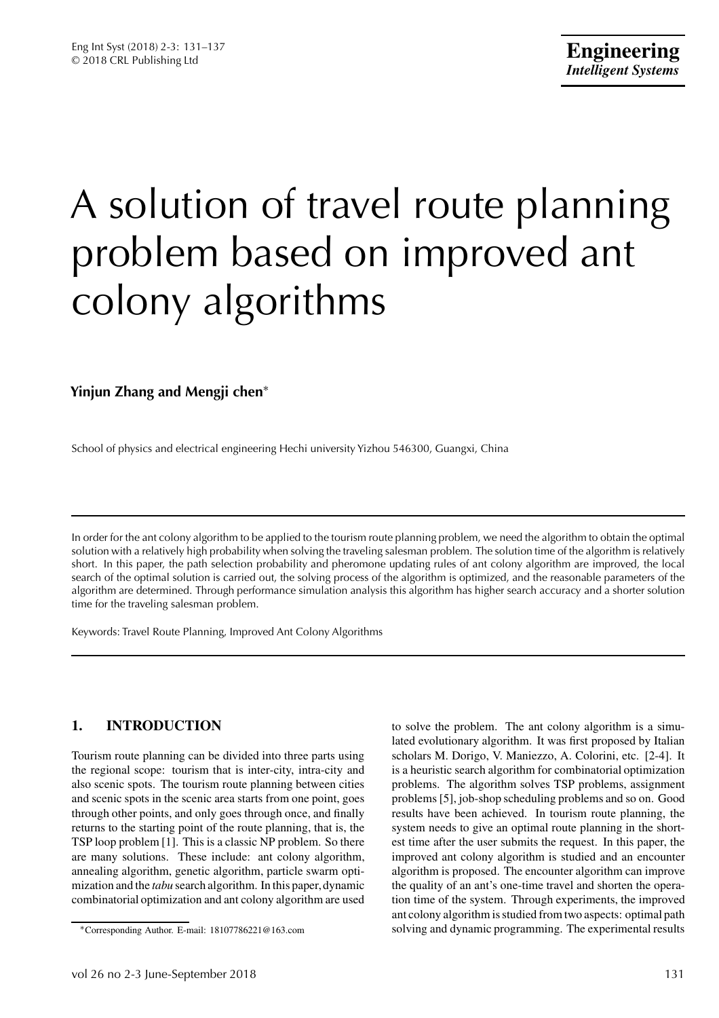# A solution of travel route planning problem based on improved ant colony algorithms

# **Yinjun Zhang and Mengji chen**<sup>∗</sup>

School of physics and electrical engineering Hechi university Yizhou 546300, Guangxi, China

In order for the ant colony algorithm to be applied to the tourism route planning problem, we need the algorithm to obtain the optimal solution with a relatively high probability when solving the traveling salesman problem. The solution time of the algorithm is relatively short. In this paper, the path selection probability and pheromone updating rules of ant colony algorithm are improved, the local search of the optimal solution is carried out, the solving process of the algorithm is optimized, and the reasonable parameters of the algorithm are determined. Through performance simulation analysis this algorithm has higher search accuracy and a shorter solution time for the traveling salesman problem.

Keywords: Travel Route Planning, Improved Ant Colony Algorithms

# **1. INTRODUCTION**

Tourism route planning can be divided into three parts using the regional scope: tourism that is inter-city, intra-city and also scenic spots. The tourism route planning between cities and scenic spots in the scenic area starts from one point, goes through other points, and only goes through once, and finally returns to the starting point of the route planning, that is, the TSP loop problem [1]. This is a classic NP problem. So there are many solutions. These include: ant colony algorithm, annealing algorithm, genetic algorithm, particle swarm optimization and the *tabu* search algorithm. In this paper, dynamic combinatorial optimization and ant colony algorithm are used

to solve the problem. The ant colony algorithm is a simulated evolutionary algorithm. It was first proposed by Italian scholars M. Dorigo, V. Maniezzo, A. Colorini, etc. [2-4]. It is a heuristic search algorithm for combinatorial optimization problems. The algorithm solves TSP problems, assignment problems [5], job-shop scheduling problems and so on. Good results have been achieved. In tourism route planning, the system needs to give an optimal route planning in the shortest time after the user submits the request. In this paper, the improved ant colony algorithm is studied and an encounter algorithm is proposed. The encounter algorithm can improve the quality of an ant's one-time travel and shorten the operation time of the system. Through experiments, the improved ant colony algorithm is studied from two aspects: optimal path solving and dynamic programming. The experimental results

<sup>∗</sup>Corresponding Author. E-mail: 18107786221@163.com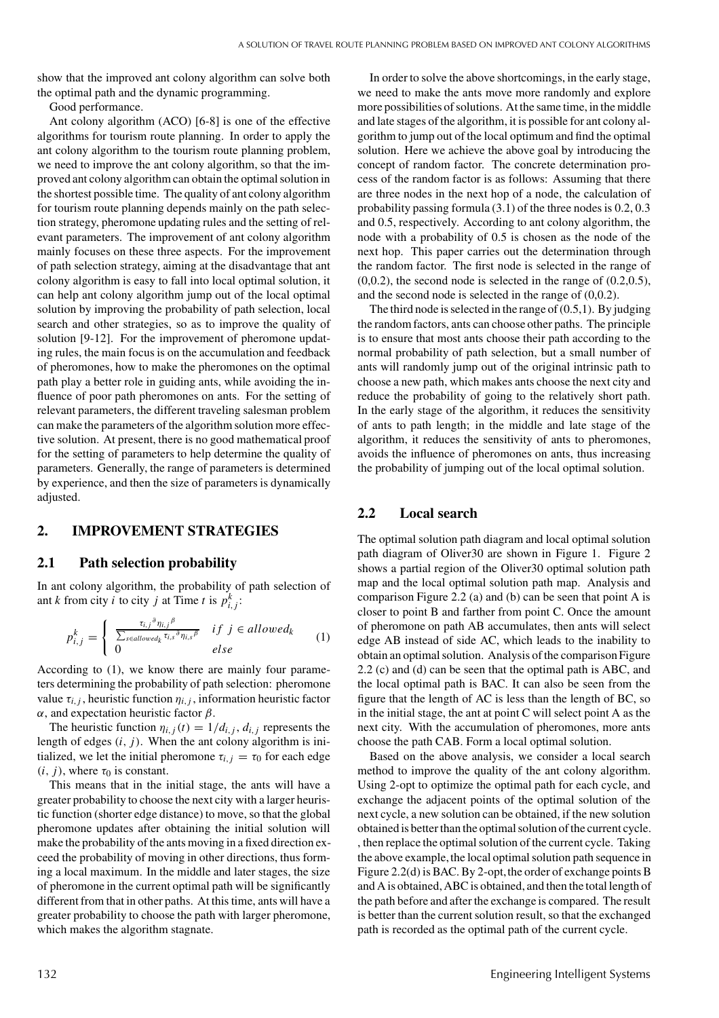show that the improved ant colony algorithm can solve both the optimal path and the dynamic programming.

Good performance.

Ant colony algorithm (ACO) [6-8] is one of the effective algorithms for tourism route planning. In order to apply the ant colony algorithm to the tourism route planning problem, we need to improve the ant colony algorithm, so that the improved ant colony algorithm can obtain the optimal solution in the shortest possible time. The quality of ant colony algorithm for tourism route planning depends mainly on the path selection strategy, pheromone updating rules and the setting of relevant parameters. The improvement of ant colony algorithm mainly focuses on these three aspects. For the improvement of path selection strategy, aiming at the disadvantage that ant colony algorithm is easy to fall into local optimal solution, it can help ant colony algorithm jump out of the local optimal solution by improving the probability of path selection, local search and other strategies, so as to improve the quality of solution [9-12]. For the improvement of pheromone updating rules, the main focus is on the accumulation and feedback of pheromones, how to make the pheromones on the optimal path play a better role in guiding ants, while avoiding the influence of poor path pheromones on ants. For the setting of relevant parameters, the different traveling salesman problem can make the parameters of the algorithm solution more effective solution. At present, there is no good mathematical proof for the setting of parameters to help determine the quality of parameters. Generally, the range of parameters is determined by experience, and then the size of parameters is dynamically adjusted.

#### **2. IMPROVEMENT STRATEGIES**

## **2.1 Path selection probability**

In ant colony algorithm, the probability of path selection of ant *k* from city *i* to city *j* at Time *t* is  $p_{i,j}^k$ :

$$
p_{i,j}^k = \begin{cases} \frac{\tau_{i,j}{}^\partial \eta_{i,j}{}^\beta}{\sum_{s \in allowed_k} \tau_{i,s}{}^\partial \eta_{i,s}{}^\beta} & if \ j \in allowed_k \\ 0 & else \end{cases}
$$
 (1)

According to (1), we know there are mainly four parameters determining the probability of path selection: pheromone value  $\tau_{i,j}$ , heuristic function  $\eta_{i,j}$ , information heuristic factor α, and expectation heuristic factor  $β$ .

The heuristic function  $\eta_{i,j}(t) = 1/d_{i,j}$ , *d<sub>i, j</sub>* represents the length of edges (*i*, *j*). When the ant colony algorithm is initialized, we let the initial pheromone  $\tau_{i,j} = \tau_0$  for each edge  $(i, j)$ , where  $\tau_0$  is constant.

This means that in the initial stage, the ants will have a greater probability to choose the next city with a larger heuristic function (shorter edge distance) to move, so that the global pheromone updates after obtaining the initial solution will make the probability of the ants moving in a fixed direction exceed the probability of moving in other directions, thus forming a local maximum. In the middle and later stages, the size of pheromone in the current optimal path will be significantly different from that in other paths. At this time, ants will have a greater probability to choose the path with larger pheromone, which makes the algorithm stagnate.

In order to solve the above shortcomings, in the early stage, we need to make the ants move more randomly and explore more possibilities of solutions. At the same time, in the middle and late stages of the algorithm, it is possible for ant colony algorithm to jump out of the local optimum and find the optimal solution. Here we achieve the above goal by introducing the concept of random factor. The concrete determination process of the random factor is as follows: Assuming that there are three nodes in the next hop of a node, the calculation of probability passing formula (3.1) of the three nodes is 0.2, 0.3 and 0.5, respectively. According to ant colony algorithm, the node with a probability of 0.5 is chosen as the node of the next hop. This paper carries out the determination through the random factor. The first node is selected in the range of  $(0,0.2)$ , the second node is selected in the range of  $(0.2,0.5)$ , and the second node is selected in the range of (0,0.2).

The third node is selected in the range of  $(0.5,1)$ . By judging the random factors, ants can choose other paths. The principle is to ensure that most ants choose their path according to the normal probability of path selection, but a small number of ants will randomly jump out of the original intrinsic path to choose a new path, which makes ants choose the next city and reduce the probability of going to the relatively short path. In the early stage of the algorithm, it reduces the sensitivity of ants to path length; in the middle and late stage of the algorithm, it reduces the sensitivity of ants to pheromones, avoids the influence of pheromones on ants, thus increasing the probability of jumping out of the local optimal solution.

## **2.2 Local search**

The optimal solution path diagram and local optimal solution path diagram of Oliver30 are shown in Figure 1. Figure 2 shows a partial region of the Oliver30 optimal solution path map and the local optimal solution path map. Analysis and comparison Figure 2.2 (a) and (b) can be seen that point A is closer to point B and farther from point C. Once the amount of pheromone on path AB accumulates, then ants will select edge AB instead of side AC, which leads to the inability to obtain an optimal solution. Analysis of the comparison Figure 2.2 (c) and (d) can be seen that the optimal path is ABC, and the local optimal path is BAC. It can also be seen from the figure that the length of AC is less than the length of BC, so in the initial stage, the ant at point C will select point A as the next city. With the accumulation of pheromones, more ants choose the path CAB. Form a local optimal solution.

Based on the above analysis, we consider a local search method to improve the quality of the ant colony algorithm. Using 2-opt to optimize the optimal path for each cycle, and exchange the adjacent points of the optimal solution of the next cycle, a new solution can be obtained, if the new solution obtained is better than the optimal solution of the current cycle. , then replace the optimal solution of the current cycle. Taking the above example, the local optimal solution path sequence in Figure 2.2(d) is BAC. By 2-opt, the order of exchange points B and A is obtained, ABC is obtained, and then the total length of the path before and after the exchange is compared. The result is better than the current solution result, so that the exchanged path is recorded as the optimal path of the current cycle.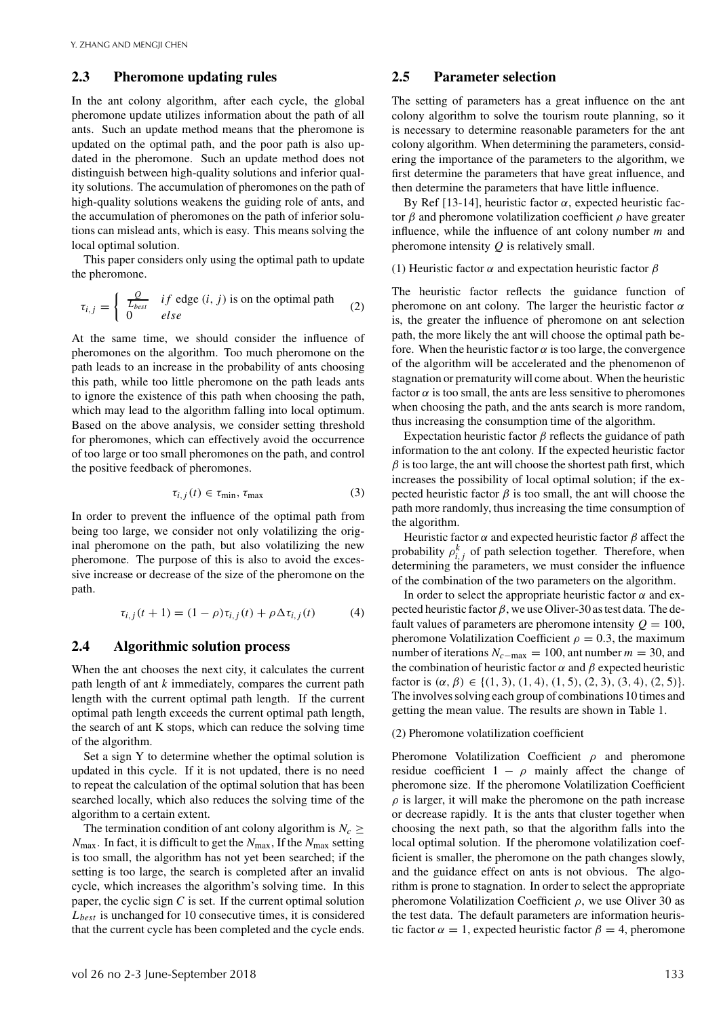#### **2.3 Pheromone updating rules**

In the ant colony algorithm, after each cycle, the global pheromone update utilizes information about the path of all ants. Such an update method means that the pheromone is updated on the optimal path, and the poor path is also updated in the pheromone. Such an update method does not distinguish between high-quality solutions and inferior quality solutions. The accumulation of pheromones on the path of high-quality solutions weakens the guiding role of ants, and the accumulation of pheromones on the path of inferior solutions can mislead ants, which is easy. This means solving the local optimal solution.

This paper considers only using the optimal path to update the pheromone.

$$
\tau_{i,j} = \begin{cases} \frac{Q}{L_{best}} & \text{if edge } (i,j) \text{ is on the optimal path} \\ 0 & \text{else} \end{cases} \tag{2}
$$

At the same time, we should consider the influence of pheromones on the algorithm. Too much pheromone on the path leads to an increase in the probability of ants choosing this path, while too little pheromone on the path leads ants to ignore the existence of this path when choosing the path, which may lead to the algorithm falling into local optimum. Based on the above analysis, we consider setting threshold for pheromones, which can effectively avoid the occurrence of too large or too small pheromones on the path, and control the positive feedback of pheromones.

$$
\tau_{i,j}(t) \in \tau_{\min}, \tau_{\max} \tag{3}
$$

In order to prevent the influence of the optimal path from being too large, we consider not only volatilizing the original pheromone on the path, but also volatilizing the new pheromone. The purpose of this is also to avoid the excessive increase or decrease of the size of the pheromone on the path.

$$
\tau_{i,j}(t+1) = (1 - \rho)\tau_{i,j}(t) + \rho \Delta \tau_{i,j}(t)
$$
 (4)

### **2.4 Algorithmic solution process**

When the ant chooses the next city, it calculates the current path length of ant *k* immediately, compares the current path length with the current optimal path length. If the current optimal path length exceeds the current optimal path length, the search of ant K stops, which can reduce the solving time of the algorithm.

Set a sign Y to determine whether the optimal solution is updated in this cycle. If it is not updated, there is no need to repeat the calculation of the optimal solution that has been searched locally, which also reduces the solving time of the algorithm to a certain extent.

The termination condition of ant colony algorithm is  $N_c \geq$ *N*max. In fact, it is difficult to get the *N*max, If the *N*max setting is too small, the algorithm has not yet been searched; if the setting is too large, the search is completed after an invalid cycle, which increases the algorithm's solving time. In this paper, the cyclic sign *C* is set. If the current optimal solution *Lbest* is unchanged for 10 consecutive times, it is considered that the current cycle has been completed and the cycle ends.

## **2.5 Parameter selection**

The setting of parameters has a great influence on the ant colony algorithm to solve the tourism route planning, so it is necessary to determine reasonable parameters for the ant colony algorithm. When determining the parameters, considering the importance of the parameters to the algorithm, we first determine the parameters that have great influence, and then determine the parameters that have little influence.

By Ref [13-14], heuristic factor  $α$ , expected heuristic factor  $β$  and pheromone volatilization coefficient  $ρ$  have greater influence, while the influence of ant colony number *m* and pheromone intensity *Q* is relatively small.

(1) Heuristic factor  $\alpha$  and expectation heuristic factor  $\beta$ 

The heuristic factor reflects the guidance function of pheromone on ant colony. The larger the heuristic factor  $\alpha$ is, the greater the influence of pheromone on ant selection path, the more likely the ant will choose the optimal path before. When the heuristic factor  $\alpha$  is too large, the convergence of the algorithm will be accelerated and the phenomenon of stagnation or prematurity will come about. When the heuristic factor  $\alpha$  is too small, the ants are less sensitive to pheromones when choosing the path, and the ants search is more random, thus increasing the consumption time of the algorithm.

Expectation heuristic factor  $\beta$  reflects the guidance of path information to the ant colony. If the expected heuristic factor  $\beta$  is too large, the ant will choose the shortest path first, which increases the possibility of local optimal solution; if the expected heuristic factor  $\beta$  is too small, the ant will choose the path more randomly, thus increasing the time consumption of the algorithm.

Heuristic factor  $\alpha$  and expected heuristic factor  $\beta$  affect the probability  $\rho_{i,j}^k$  of path selection together. Therefore, when determining the parameters, we must consider the influence of the combination of the two parameters on the algorithm.

In order to select the appropriate heuristic factor  $\alpha$  and expected heuristic factor  $\beta$ , we use Oliver-30 as test data. The default values of parameters are pheromone intensity  $Q = 100$ , pheromone Volatilization Coefficient  $\rho = 0.3$ , the maximum number of iterations  $N_{c-max} = 100$ , ant number  $m = 30$ , and the combination of heuristic factor  $\alpha$  and  $\beta$  expected heuristic factor is  $(\alpha, \beta) \in \{(1, 3), (1, 4), (1, 5), (2, 3), (3, 4), (2, 5)\}.$ The involves solving each group of combinations 10 times and getting the mean value. The results are shown in Table 1.

#### (2) Pheromone volatilization coefficient

Pheromone Volatilization Coefficient  $\rho$  and pheromone residue coefficient  $1 - \rho$  mainly affect the change of pheromone size. If the pheromone Volatilization Coefficient  $\rho$  is larger, it will make the pheromone on the path increase or decrease rapidly. It is the ants that cluster together when choosing the next path, so that the algorithm falls into the local optimal solution. If the pheromone volatilization coefficient is smaller, the pheromone on the path changes slowly, and the guidance effect on ants is not obvious. The algorithm is prone to stagnation. In order to select the appropriate pheromone Volatilization Coefficient  $\rho$ , we use Oliver 30 as the test data. The default parameters are information heuristic factor  $\alpha = 1$ , expected heuristic factor  $\beta = 4$ , pheromone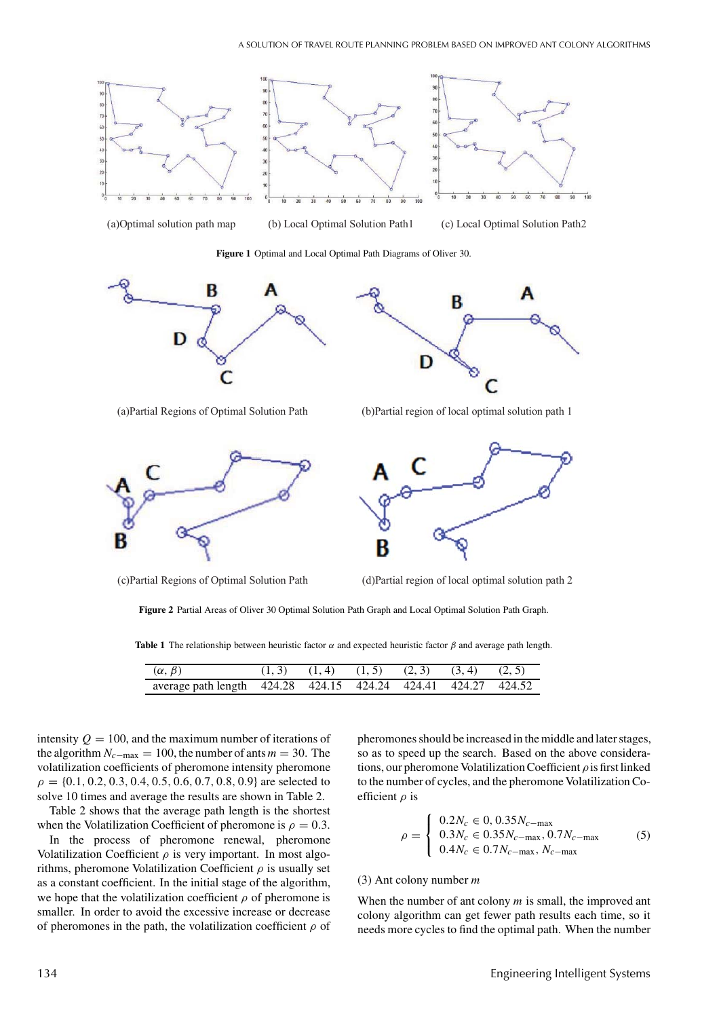

(a)Optimal solution path map (b) Local Optimal Solution Path1 (c) Local Optimal Solution Path2

**Figure 1** Optimal and Local Optimal Path Diagrams of Oliver 30.





(a)Partial Regions of Optimal Solution Path (b)Partial region of local optimal solution path 1



(c)Partial Regions of Optimal Solution Path (d)Partial region of local optimal solution path 2



**Figure 2** Partial Areas of Oliver 30 Optimal Solution Path Graph and Local Optimal Solution Path Graph.

**Table 1** The relationship between heuristic factor  $\alpha$  and expected heuristic factor  $\beta$  and average path length.

| $(\alpha, \beta)$                                             | $(1,3)$ $(1,4)$ $(1,5)$ $(2,3)$ $(3,4)$ $(2,5)$ |  |  |  |
|---------------------------------------------------------------|-------------------------------------------------|--|--|--|
| average path length 424.28 424.15 424.24 424.41 424.27 424.52 |                                                 |  |  |  |

intensity  $Q = 100$ , and the maximum number of iterations of the algorithm  $N_{c-max} = 100$ , the number of ants  $m = 30$ . The volatilization coefficients of pheromone intensity pheromone  $\rho = \{0.1, 0.2, 0.3, 0.4, 0.5, 0.6, 0.7, 0.8, 0.9\}$  are selected to solve 10 times and average the results are shown in Table 2.

Table 2 shows that the average path length is the shortest when the Volatilization Coefficient of pheromone is  $\rho = 0.3$ .

In the process of pheromone renewal, pheromone Volatilization Coefficient  $\rho$  is very important. In most algorithms, pheromone Volatilization Coefficient  $\rho$  is usually set as a constant coefficient. In the initial stage of the algorithm, we hope that the volatilization coefficient  $\rho$  of pheromone is smaller. In order to avoid the excessive increase or decrease of pheromones in the path, the volatilization coefficient  $\rho$  of pheromones should be increased in the middle and later stages, so as to speed up the search. Based on the above considerations, our pheromone Volatilization Coefficient  $\rho$  is first linked to the number of cycles, and the pheromone Volatilization Coefficient  $\rho$  is

$$
\rho = \begin{cases} 0.2N_c \in 0, 0.35N_{c-max} \\ 0.3N_c \in 0.35N_{c-max}, 0.7N_{c-max} \\ 0.4N_c \in 0.7N_{c-max}, N_{c-max} \end{cases}
$$
(5)

## (3) Ant colony number *m*

When the number of ant colony *m* is small, the improved ant colony algorithm can get fewer path results each time, so it needs more cycles to find the optimal path. When the number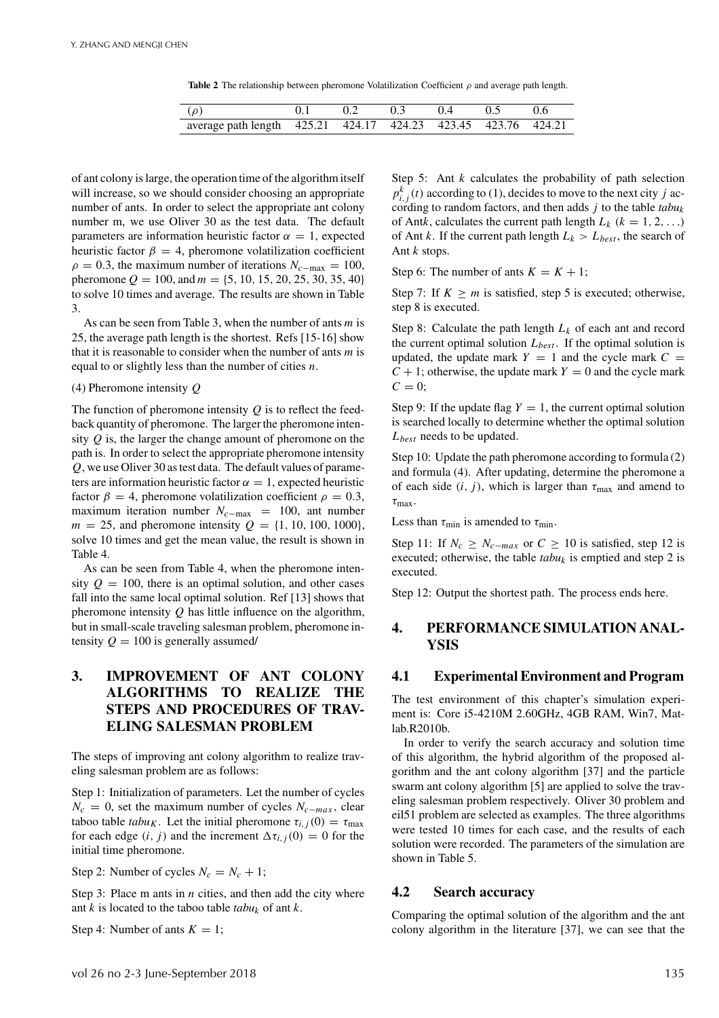**Table 2** The relationship between pheromone Volatilization Coefficient ρ and average path length.

| $(\rho)$                                                      | 0.2 | $0.3$ $0.4$ $0.5$ |  |
|---------------------------------------------------------------|-----|-------------------|--|
| average path length 425.21 424.17 424.23 423.45 423.76 424.21 |     |                   |  |

of ant colony is large, the operation time of the algorithm itself will increase, so we should consider choosing an appropriate number of ants. In order to select the appropriate ant colony number m, we use Oliver 30 as the test data. The default parameters are information heuristic factor  $\alpha = 1$ , expected heuristic factor  $\beta = 4$ , pheromone volatilization coefficient  $\rho = 0.3$ , the maximum number of iterations  $N_{c-\text{max}} = 100$ , pheromone  $Q = 100$ , and  $m = \{5, 10, 15, 20, 25, 30, 35, 40\}$ to solve 10 times and average. The results are shown in Table 3.

As can be seen from Table 3, when the number of ants *m* is 25, the average path length is the shortest. Refs [15-16] show that it is reasonable to consider when the number of ants *m* is equal to or slightly less than the number of cities *n*.

#### (4) Pheromone intensity *Q*

The function of pheromone intensity *Q* is to reflect the feedback quantity of pheromone. The larger the pheromone intensity *Q* is, the larger the change amount of pheromone on the path is. In order to select the appropriate pheromone intensity *Q*, we use Oliver 30 as test data. The default values of parameters are information heuristic factor  $\alpha = 1$ , expected heuristic factor  $\beta = 4$ , pheromone volatilization coefficient  $\rho = 0.3$ , maximum iteration number  $N_{c-max}$  = 100, ant number  $m = 25$ , and pheromone intensity  $Q = \{1, 10, 100, 1000\}$ , solve 10 times and get the mean value, the result is shown in Table 4.

As can be seen from Table 4, when the pheromone intensity  $Q = 100$ , there is an optimal solution, and other cases fall into the same local optimal solution. Ref [13] shows that pheromone intensity *Q* has little influence on the algorithm, but in small-scale traveling salesman problem, pheromone intensity  $Q = 100$  is generally assumed/

# **3. IMPROVEMENT OF ANT COLONY ALGORITHMS TO REALIZE THE STEPS AND PROCEDURES OF TRAV-ELING SALESMAN PROBLEM**

The steps of improving ant colony algorithm to realize traveling salesman problem are as follows:

Step 1: Initialization of parameters. Let the number of cycles  $N_c = 0$ , set the maximum number of cycles  $N_{c-max}$ , clear taboo table *tabu<sub>K</sub>*. Let the initial pheromone  $\tau_{i,j}(0) = \tau_{\text{max}}$ for each edge  $(i, j)$  and the increment  $\Delta \tau_{i,j}(0) = 0$  for the initial time pheromone.

Step 2: Number of cycles  $N_c = N_c + 1$ ;

Step 3: Place m ants in *n* cities, and then add the city where ant *k* is located to the taboo table *tabuk* of ant *k*.

Step 4: Number of ants  $K = 1$ ;

Step 5: Ant *k* calculates the probability of path selection  $p_{i,j}^k(t)$  according to (1), decides to move to the next city *j* according to random factors, and then adds *j* to the table *tabuk* of Antk, calculates the current path length  $L_k$  ( $k = 1, 2, ...$ ) of Ant *k*. If the current path length  $L_k > L_{best}$ , the search of Ant *k* stops.

Step 6: The number of ants  $K = K + 1$ ;

Step 7: If  $K \ge m$  is satisfied, step 5 is executed; otherwise, step 8 is executed.

Step 8: Calculate the path length  $L_k$  of each ant and record the current optimal solution *Lbest* . If the optimal solution is updated, the update mark  $Y = 1$  and the cycle mark  $C =$  $C + 1$ ; otherwise, the update mark  $Y = 0$  and the cycle mark  $C = 0;$ 

Step 9: If the update flag  $Y = 1$ , the current optimal solution is searched locally to determine whether the optimal solution *Lbest* needs to be updated.

Step 10: Update the path pheromone according to formula (2) and formula (4). After updating, determine the pheromone a of each side  $(i, j)$ , which is larger than  $\tau_{\text{max}}$  and amend to  $\tau_{\text{max}}$ .

Less than  $\tau_{\min}$  is amended to  $\tau_{\min}$ .

Step 11: If  $N_c \geq N_{c-max}$  or  $C \geq 10$  is satisfied, step 12 is executed; otherwise, the table  $tabu_k$  is emptied and step 2 is executed.

Step 12: Output the shortest path. The process ends here.

## **4. PERFORMANCE SIMULATION ANAL-YSIS**

## **4.1 Experimental Environment and Program**

The test environment of this chapter's simulation experiment is: Core i5-4210M 2.60GHz, 4GB RAM, Win7, Matlab.R2010b.

In order to verify the search accuracy and solution time of this algorithm, the hybrid algorithm of the proposed algorithm and the ant colony algorithm [37] and the particle swarm ant colony algorithm [5] are applied to solve the traveling salesman problem respectively. Oliver 30 problem and eil51 problem are selected as examples. The three algorithms were tested 10 times for each case, and the results of each solution were recorded. The parameters of the simulation are shown in Table 5.

### **4.2 Search accuracy**

Comparing the optimal solution of the algorithm and the ant colony algorithm in the literature [37], we can see that the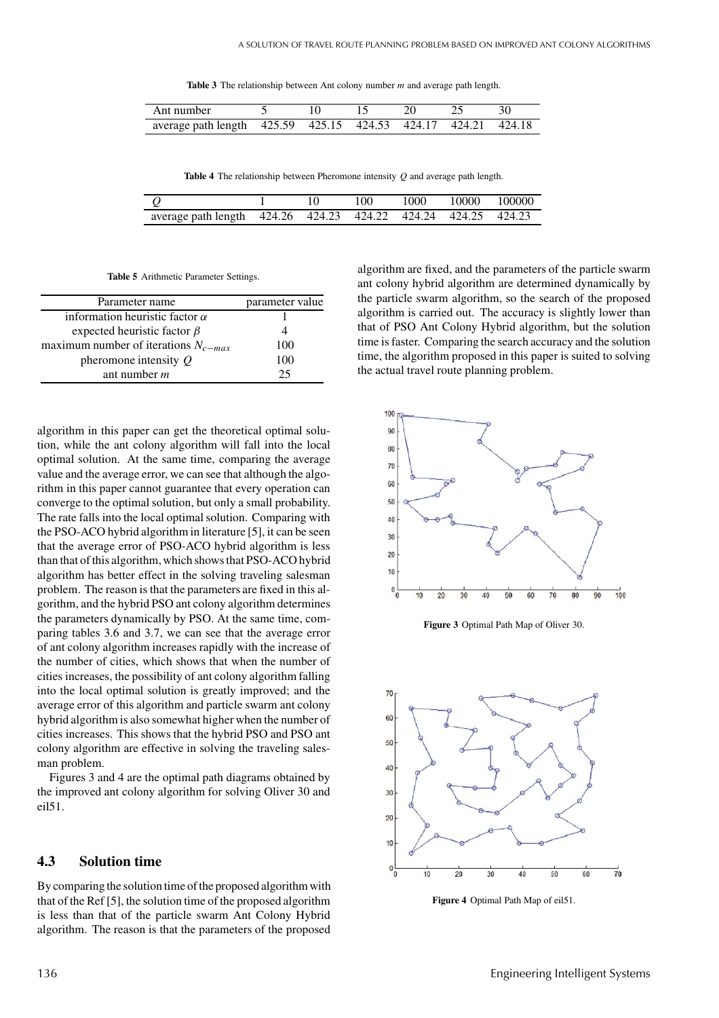**Table 3** The relationship between Ant colony number *m* and average path length.

| Ant number                                                    |  |  |  |
|---------------------------------------------------------------|--|--|--|
| average path length 425.59 425.15 424.53 424.17 424.21 424.18 |  |  |  |

**Table 4** The relationship between Pheromone intensity *Q* and average path length.

|                                                               |  | 100. | 1000 10000 100000 |  |
|---------------------------------------------------------------|--|------|-------------------|--|
| average path length 424.26 424.23 424.22 424.24 424.25 424.23 |  |      |                   |  |

**Table 5** Arithmetic Parameter Settings.

| Parameter name                           | parameter value |
|------------------------------------------|-----------------|
| information heuristic factor $\alpha$    |                 |
| expected heuristic factor $\beta$        |                 |
| maximum number of iterations $N_{c-max}$ | 100             |
| pheromone intensity $Q$                  | 100             |
| ant number $m$                           | 25              |

algorithm in this paper can get the theoretical optimal solution, while the ant colony algorithm will fall into the local optimal solution. At the same time, comparing the average value and the average error, we can see that although the algorithm in this paper cannot guarantee that every operation can converge to the optimal solution, but only a small probability. The rate falls into the local optimal solution. Comparing with the PSO-ACO hybrid algorithm in literature [5], it can be seen that the average error of PSO-ACO hybrid algorithm is less than that of this algorithm, which shows that PSO-ACO hybrid algorithm has better effect in the solving traveling salesman problem. The reason is that the parameters are fixed in this algorithm, and the hybrid PSO ant colony algorithm determines the parameters dynamically by PSO. At the same time, comparing tables 3.6 and 3.7, we can see that the average error of ant colony algorithm increases rapidly with the increase of the number of cities, which shows that when the number of cities increases, the possibility of ant colony algorithm falling into the local optimal solution is greatly improved; and the average error of this algorithm and particle swarm ant colony hybrid algorithm is also somewhat higher when the number of cities increases. This shows that the hybrid PSO and PSO ant colony algorithm are effective in solving the traveling salesman problem.

Figures 3 and 4 are the optimal path diagrams obtained by the improved ant colony algorithm for solving Oliver 30 and eil51.

### **4.3 Solution time**

By comparing the solution time of the proposed algorithm with that of the Ref [5], the solution time of the proposed algorithm is less than that of the particle swarm Ant Colony Hybrid algorithm. The reason is that the parameters of the proposed algorithm are fixed, and the parameters of the particle swarm ant colony hybrid algorithm are determined dynamically by the particle swarm algorithm, so the search of the proposed algorithm is carried out. The accuracy is slightly lower than that of PSO Ant Colony Hybrid algorithm, but the solution time is faster. Comparing the search accuracy and the solution time, the algorithm proposed in this paper is suited to solving the actual travel route planning problem.



**Figure 3** Optimal Path Map of Oliver 30.



**Figure 4** Optimal Path Map of eil51.